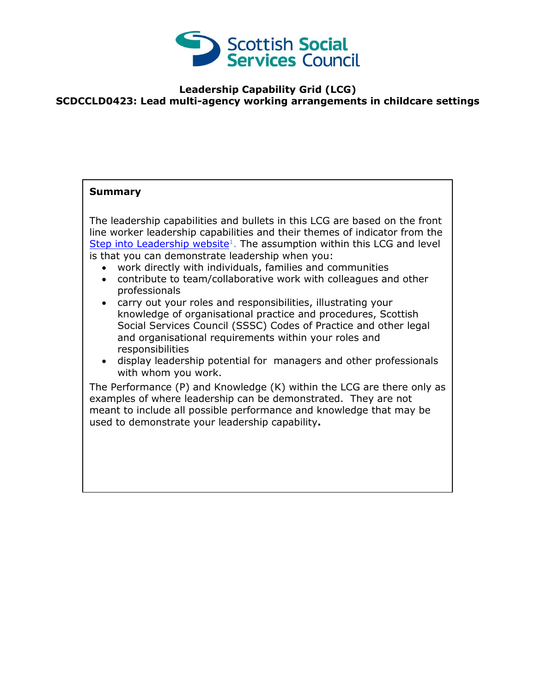

## **Leadership Capability Grid (LCG) SCDCCLD0423: Lead multi-agency working arrangements in childcare settings**

## **Summary**

The leadership capabilities and bullets in this LCG are based on the front line worker leadership capabilities and their themes of indicator from the [Step into Leadership website](http://www.stepintoleadership.info/)<sup>1</sup>. The assumption within this LCG and level is that you can demonstrate leadership when you:

- work directly with individuals, families and communities
- contribute to team/collaborative work with colleagues and other professionals
- carry out your roles and responsibilities, illustrating your knowledge of organisational practice and procedures, Scottish Social Services Council (SSSC) Codes of Practice and other legal and organisational requirements within your roles and responsibilities
- display leadership potential for managers and other professionals with whom you work.

The Performance (P) and Knowledge (K) within the LCG are there only as examples of where leadership can be demonstrated. They are not meant to include all possible performance and knowledge that may be used to demonstrate your leadership capability**.**